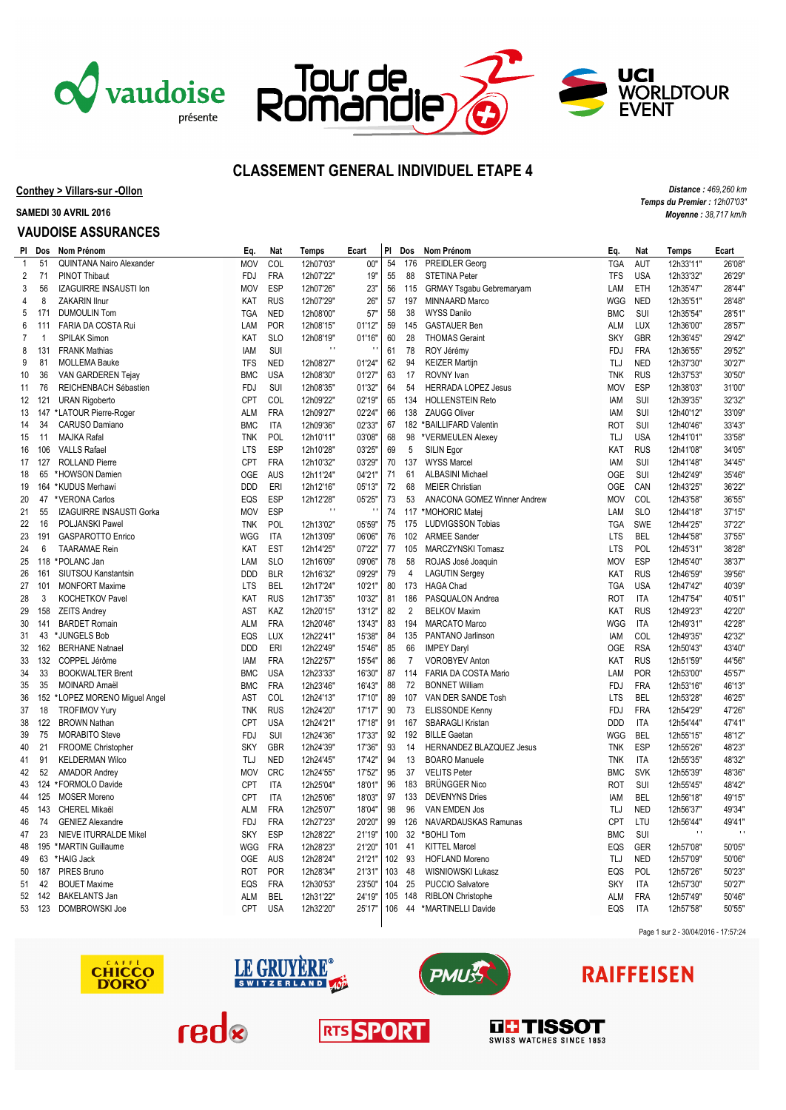





*Distance : 469,260 km Temps du Premier : 12h07'03" Moyenne : 38,717 km/h*

## **CLASSEMENT GENERAL INDIVIDUEL ETAPE 4**

**Conthey > Villars-sur -Ollon**

**SAMEDI 30 AVRIL 2016**

### **VAUDOISE ASSURANCES**

|                | PI Dos       | Nom Prénom                      | Eq.        | Nat        | Temps                     | Ecart                    | PI       | Dos            | Nom Prénom                                        | Eq.        | Nat        | Temps        | Ecart        |
|----------------|--------------|---------------------------------|------------|------------|---------------------------|--------------------------|----------|----------------|---------------------------------------------------|------------|------------|--------------|--------------|
| $\mathbf{1}$   | 51           | <b>QUINTANA Nairo Alexander</b> | <b>MOV</b> | COL        | 12h07'03"                 | 00"                      | 54       | 176            | PREIDLER Georg                                    | <b>TGA</b> | <b>AUT</b> | 12h33'11"    | 26'08"       |
| 2              | 71           | PINOT Thibaut                   | FDJ        | <b>FRA</b> | 12h07'22"                 | 19"                      | 55       | 88             | <b>STETINA Peter</b>                              | <b>TFS</b> | <b>USA</b> | 12h33'32"    | 26'29"       |
| 3              | 56           | IZAGUIRRE INSAUSTI Ion          | <b>MOV</b> | ESP        | 12h07'26"                 | 23"                      | 56       | 115            | <b>GRMAY Tsgabu Gebremaryam</b>                   | LAM        | ETH        | 12h35'47"    | 28'44"       |
| 4              | 8            | ZAKARIN Ilnur                   | KAT        | <b>RUS</b> | 12h07'29"                 | 26"                      | 57       | 197            | MINNAARD Marco                                    | WGG        | <b>NED</b> | 12h35'51"    | 28'48"       |
| 5              | 171          | <b>DUMOULIN Tom</b>             | <b>TGA</b> | <b>NED</b> | 12h08'00"                 | 57"                      | 58       | 38             | <b>WYSS Danilo</b>                                | <b>BMC</b> | SUI        | 12h35'54"    | 28'51"       |
| 6              | 111          | FARIA DA COSTA Rui              | LAM        | <b>POR</b> | 12h08'15"                 | 01'12"                   | 59       | 145            | <b>GASTAUER Ben</b>                               | <b>ALM</b> | LUX        | 12h36'00"    | 28'57"       |
| $\overline{7}$ | $\mathbf{1}$ | <b>SPILAK Simon</b>             | KAT        | <b>SLO</b> | 12h08'19"                 | 01'16"                   | 60       | 28             | <b>THOMAS Geraint</b>                             | <b>SKY</b> | <b>GBR</b> | 12h36'45"    | 29'42"       |
| 8              | 131          | <b>FRANK Mathias</b>            | <b>IAM</b> | SUI        | $\pm$ 1                   |                          | 61       | 78             | ROY Jérémy                                        | <b>FDJ</b> | <b>FRA</b> | 12h36'55"    | 29'52"       |
| 9              | 81           | <b>MOLLEMA Bauke</b>            | <b>TFS</b> | <b>NED</b> | 12h08'27"                 | 01'24"                   | 62       | 94             | <b>KEIZER Martijn</b>                             | TLJ        | <b>NED</b> | 12h37'30"    | 30'27"       |
| 10             | 36           | VAN GARDEREN Tejay              | <b>BMC</b> | <b>USA</b> | 12h08'30"                 | 01'27"                   | 63       | 17             | ROVNY Ivan                                        | <b>TNK</b> | <b>RUS</b> | 12h37'53"    | 30'50"       |
| 11             | 76           | REICHENBACH Sébastien           | <b>FDJ</b> | SUI        | 12h08'35"                 | 01'32"                   | 64       | 54             | HERRADA LOPEZ Jesus                               | <b>MOV</b> | <b>ESP</b> | 12h38'03"    | 31'00"       |
| 12             | 121          | <b>URAN Rigoberto</b>           | CPT        | COL        | 12h09'22"                 | 02'19"                   | 65       | 134            | <b>HOLLENSTEIN Reto</b>                           | IAM        | SUI        | 12h39'35"    | 32'32"       |
| 13             |              | 147 *LATOUR Pierre-Roger        | <b>ALM</b> | <b>FRA</b> | 12h09'27"                 | 02'24"                   | 66       | 138            | <b>ZAUGG Oliver</b>                               | IAM        | SUI        | 12h40'12"    | 33'09"       |
| 14             | 34           | CARUSO Damiano                  | <b>BMC</b> | <b>ITA</b> | 12h09'36"                 | 02'33"                   | 67       |                | 182 *BAILLIFARD Valentin                          | <b>ROT</b> | SUI        | 12h40'46"    | 33'43"       |
| 15             | 11           | MAJKA Rafal                     | <b>TNK</b> | POL        | 12h10'11"                 | 03'08"                   | 68       | 98             | *VERMEULEN Alexey                                 | TLJ        | <b>USA</b> | 12h41'01"    | 33'58"       |
| 16             | 106          | <b>VALLS Rafael</b>             | <b>LTS</b> | ESP        | 12h10'28"                 | 03'25"                   | 69       | 5              | SILIN Egor                                        | KAT        | <b>RUS</b> | 12h41'08'    | 34'05"       |
| 17             | 127          | <b>ROLLAND Pierre</b>           | CPT        | <b>FRA</b> | 12h10'32"                 | 03'29"                   | 70       | 137            | <b>WYSS Marcel</b>                                | IAM        | SUI        | 12h41'48"    | 34'45"       |
| 18             | 65           | *HOWSON Damien                  | <b>OGE</b> | <b>AUS</b> | 12h11'24"                 | 04'21"                   | 71       | 61             | <b>ALBASINI Michael</b>                           | <b>OGE</b> | SUI        | 12h42'49"    | 35'46"       |
|                |              |                                 | <b>DDD</b> | ERI        |                           | 05'13"                   |          | 68             |                                                   | OGE        | CAN        |              | 36'22"       |
| 19             |              | 164 *KUDUS Merhawi              |            | ESP        | 12h12'16"                 |                          | 72<br>73 |                | <b>MEIER Christian</b>                            |            | COL        | 12h43'25"    | 36'55"       |
| 20             | 47           | *VERONA Carlos                  | EQS        |            | 12h12'28"<br>$\mathbf{H}$ | 05'25"<br>$\blacksquare$ |          | 53             | ANACONA GOMEZ Winner Andrew                       | <b>MOV</b> |            | 12h43'58"    |              |
| 21             | 55           | IZAGUIRRE INSAUSTI Gorka        | <b>MOV</b> | <b>ESP</b> |                           |                          | 74       |                | 117 *MOHORIC Matej                                | LAM        | <b>SLO</b> | 12h44'18"    | 37'15"       |
| 22             | 16           | POLJANSKI Pawel                 | <b>TNK</b> | POL        | 12h13'02"                 | 05'59"                   | 75       | 175            | <b>LUDVIGSSON Tobias</b>                          | <b>TGA</b> | <b>SWE</b> | 12h44'25"    | 37'22"       |
| 23             | 191          | <b>GASPAROTTO Enrico</b>        | WGG        | <b>ITA</b> | 12h13'09"                 | 06'06"                   | 76       | 102            | <b>ARMEE Sander</b>                               | <b>LTS</b> | <b>BEL</b> | 12h44'58"    | 37'55"       |
| 24             | 6            | <b>TAARAMAE</b> Rein            | KAT        | <b>EST</b> | 12h14'25"                 | 07'22"                   | 77       | 105            | <b>MARCZYNSKI Tomasz</b>                          | <b>LTS</b> | POL        | 12h45'31"    | 38'28"       |
| 25             | 118          | *POLANC Jan                     | LAM        | <b>SLO</b> | 12h16'09"                 | 09'06"                   | 78       | 58             | ROJAS José Joaquin                                | <b>MOV</b> | <b>ESP</b> | 12h45'40"    | 38'37"       |
| 26             | 161          | SIUTSOU Kanstantsin             | <b>DDD</b> | <b>BLR</b> | 12h16'32"                 | 09'29"                   | 79       | $\overline{4}$ | <b>LAGUTIN Sergey</b>                             | KAT        | <b>RUS</b> | 12h46'59"    | 39'56"       |
| 27             | 101          | <b>MONFORT Maxime</b>           | LTS        | <b>BEL</b> | 12h17'24"                 | 10'21'                   | 80       | 173            | <b>HAGA Chad</b>                                  | TGA        | <b>USA</b> | 12h47'42"    | 40'39"       |
| 28             | 3            | <b>KOCHETKOV Pavel</b>          | KAT        | <b>RUS</b> | 12h17'35"                 | 10'32"                   | 81       | 186            | PASQUALON Andrea                                  | <b>ROT</b> | <b>ITA</b> | 12h47'54"    | 40'51'       |
| 29             | 158          | <b>ZEITS Andrey</b>             | AST        | KAZ        | 12h20'15"                 | 13'12"                   | 82       | $\overline{2}$ | <b>BELKOV Maxim</b>                               | KAT        | <b>RUS</b> | 12h49'23"    | 42'20"       |
| 30             | 141          | <b>BARDET Romain</b>            | <b>ALM</b> | <b>FRA</b> | 12h20'46"                 | 13'43"                   | 83       | 194            | <b>MARCATO Marco</b>                              | WGG        | <b>ITA</b> | 12h49'31"    | 42'28"       |
| 31             | 43           | *JUNGELS Bob                    | EQS        | <b>LUX</b> | 12h22'41"                 | 15'38"                   | 84       | 135            | PANTANO Jarlinson                                 | IAM        | COL        | 12h49'35"    | 42'32"       |
| 32             | 162          | <b>BERHANE Natnael</b>          | <b>DDD</b> | ERI        | 12h22'49"                 | 15'46"                   | 85       | 66             | <b>IMPEY Daryl</b>                                | OGE        | <b>RSA</b> | 12h50'43"    | 43'40"       |
| 33             |              | 132 COPPEL Jérôme               | IAM        | <b>FRA</b> | 12h22'57"                 | 15'54"                   | 86       | 7              | <b>VOROBYEV Anton</b>                             | KAT        | <b>RUS</b> | 12h51'59"    | 44'56"       |
| 34             | 33           | <b>BOOKWALTER Brent</b>         | <b>BMC</b> | <b>USA</b> | 12h23'33"                 | 16'30"                   | 87       | 114            | FARIA DA COSTA Mario                              | LAM        | POR        | 12h53'00"    | 45'57"       |
| 35             | 35           | MOINARD Amaël                   | <b>BMC</b> | <b>FRA</b> | 12h23'46"                 | 16'43"                   | 88       | 72             | <b>BONNET William</b>                             | <b>FDJ</b> | <b>FRA</b> | 12h53'16'    | 46'13"       |
| 36             |              | 152 *LOPEZ MORENO Miguel Angel  | AST        | COL        | 12h24'13"                 | 17'10"                   | 89       | 107            | VAN DER SANDE Tosh                                | <b>LTS</b> | <b>BEL</b> | 12h53'28"    | 46'25"       |
| 37             | 18           | <b>TROFIMOV Yury</b>            | <b>TNK</b> | <b>RUS</b> | 12h24'20"                 | 17'17"                   | 90       | 73             | ELISSONDE Kenny                                   | <b>FDJ</b> | <b>FRA</b> | 12h54'29"    | 47'26"       |
| 38             | 122          | <b>BROWN Nathan</b>             | CPT        | <b>USA</b> | 12h24'21"                 | 17'18"                   | 91       | 167            | SBARAGLI Kristan                                  | <b>DDD</b> | <b>ITA</b> | 12h54'44"    | 47'41'       |
| 39             | 75           | <b>MORABITO Steve</b>           | <b>FDJ</b> | SUI        | 12h24'36"                 | 17'33"                   | 92       | 192            | <b>BILLE Gaetan</b>                               | WGG        | <b>BEL</b> | 12h55'15"    | 48'12"       |
| 40             | 21           | FROOME Christopher              | <b>SKY</b> | <b>GBR</b> | 12h24'39"                 | 17'36"                   | 93       | 14             | HERNANDEZ BLAZQUEZ Jesus                          | <b>TNK</b> | <b>ESP</b> | 12h55'26'    | 48'23"       |
| 41             | 91           | <b>KELDERMAN Wilco</b>          | TLJ        | <b>NED</b> | 12h24'45"                 | 17'42"                   | 94       | 13             | <b>BOARO</b> Manuele                              | <b>TNK</b> | <b>ITA</b> | 12h55'35"    | 48'32"       |
| 42             | 52           | <b>AMADOR Andrey</b>            | <b>MOV</b> | <b>CRC</b> | 12h24'55"                 | 17'52"                   | 95       | 37             | <b>VELITS Peter</b>                               | <b>BMC</b> | <b>SVK</b> | 12h55'39"    | 48'36"       |
| 43             |              | 124 *FORMOLO Davide             | CPT        | <b>ITA</b> | 12h25'04"                 | 18'01"                   | 96       | 183            | <b>BRÜNGGER Nico</b>                              | <b>ROT</b> | SUI        | 12h55'45'    | 48'42"       |
| 44             | 125          | <b>MOSER Moreno</b>             | CPT        | <b>ITA</b> | 12h25'06"                 | 18'03"                   | 97       | 133            | <b>DEVENYNS Dries</b>                             | IAM        | <b>BEL</b> | 12h56'18"    | 49'15"       |
| 45             | 143          | CHEREL Mikaël                   | ALM        | <b>FRA</b> | 12h25'07"                 | 18'04"                   | 98       | 96             | VAN EMDEN Jos                                     | TLJ        | <b>NED</b> | 12h56'37"    | 49'34"       |
| 46             | 74           | <b>GENIEZ Alexandre</b>         | FDJ        | <b>FRA</b> | 12h27'23"                 | 20'20"                   | 99       | 126            | NAVARDAUSKAS Ramunas                              | <b>CPT</b> | LTU        | 12h56'44"    | 49'41'       |
| 47             | 23           | <b>NIEVE ITURRALDE Mikel</b>    | <b>SKY</b> | ESP        | 12h28'22"                 | 21'19"                   | 100      | 32             | *BOHLI Tom                                        | <b>BMC</b> | SUI        | $\mathbf{H}$ | $\mathbf{L}$ |
| 48             |              | 195 *MARTIN Guillaume           | WGG        | <b>FRA</b> | 12h28'23"                 | 21'20"                   | 101      | 41             | <b>KITTEL Marcel</b>                              | EQS        | GER        | 12h57'08"    | 50'05"       |
| 49             |              | 63 *HAIG Jack                   | OGE        | <b>AUS</b> | 12h28'24"                 | 21'21"                   | 102      | 93             | <b>HOFLAND Moreno</b>                             | TLJ        | <b>NED</b> | 12h57'09"    | 50'06"       |
|                |              | 187 PIRES Bruno                 | ROT        | <b>POR</b> | 12h28'34"                 | 21'31'                   | 103      | 48             | WISNIOWSKI Lukasz                                 | EQS        | POL        | 12h57'26"    | 50'23"       |
| 50             | 42           |                                 |            | <b>FRA</b> |                           | 23'50"                   | 104      | 25             |                                                   | <b>SKY</b> | <b>ITA</b> |              | 50'27"       |
| 51             | 142          | <b>BOUET Maxime</b>             | EQS        |            | 12h30'53"                 |                          | 105      |                | PUCCIO Salvatore                                  |            |            | 12h57'30"    |              |
| 52             |              | <b>BAKELANTS Jan</b>            | <b>ALM</b> | <b>BEL</b> | 12h31'22"                 | 24'19"                   | 106      | 148            | <b>RIBLON Christophe</b><br>44 *MARTINELLI Davide | <b>ALM</b> | <b>FRA</b> | 12h57'49"    | 50'46"       |
|                |              | 53 123 DOMBROWSKI Joe           | CPT        | <b>USA</b> | 12h32'20"                 | 25'17"                   |          |                |                                                   | EQS        | <b>ITA</b> | 12h57'58"    | 50'55"       |
|                |              |                                 |            |            |                           |                          |          |                |                                                   |            |            |              |              |





**RTS SPORT** 

red



# **RAIFFEISEN**

Page 1 sur 2 - 30/04/2016 - 17:57:24